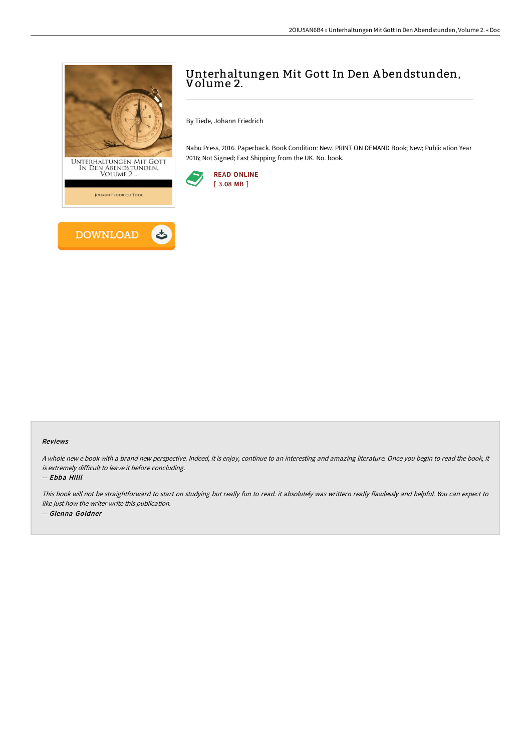

## Unterhaltungen Mit Gott In Den A bendstunden, Volume 2.

By Tiede, Johann Friedrich

Nabu Press, 2016. Paperback. Book Condition: New. PRINT ON DEMAND Book; New; Publication Year 2016; Not Signed; Fast Shipping from the UK. No. book.



#### Reviews

A whole new <sup>e</sup> book with <sup>a</sup> brand new perspective. Indeed, it is enjoy, continue to an interesting and amazing literature. Once you begin to read the book, it is extremely difficult to leave it before concluding.

-- Ebba Hilll

This book will not be straightforward to start on studying but really fun to read. it absolutely was writtern really flawlessly and helpful. You can expect to like just how the writer write this publication. -- Glenna Goldner